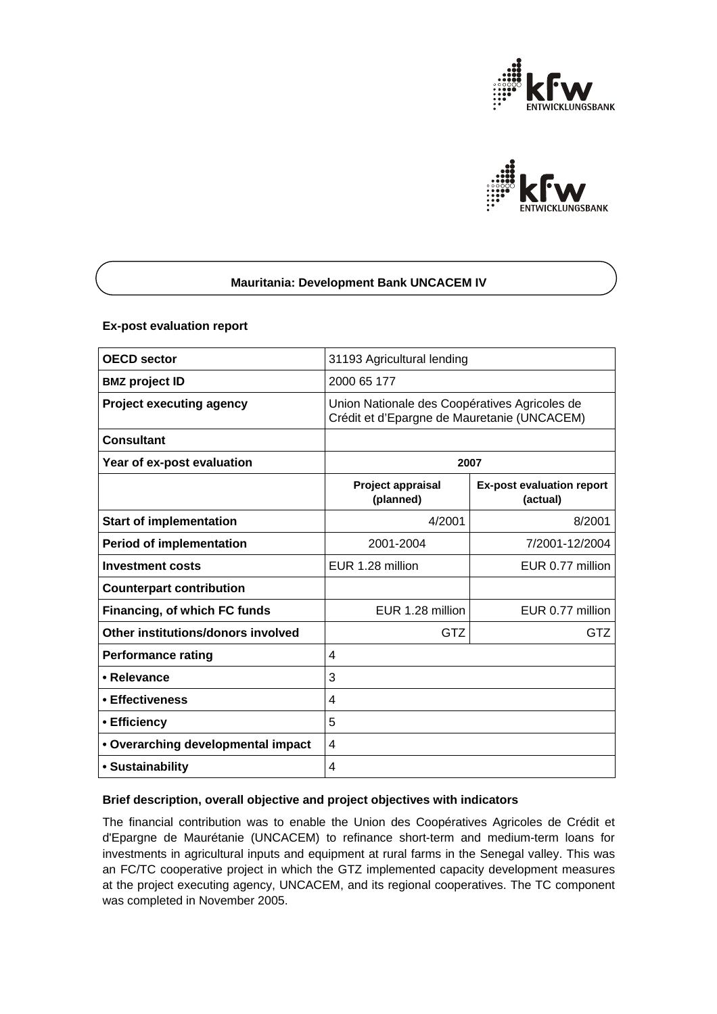



## **Mauritania: Development Bank UNCACEM IV**

### **Ex-post evaluation report**

| <b>OECD</b> sector                 | 31193 Agricultural lending                                                                   |                                              |
|------------------------------------|----------------------------------------------------------------------------------------------|----------------------------------------------|
| <b>BMZ project ID</b>              | 2000 65 177                                                                                  |                                              |
| <b>Project executing agency</b>    | Union Nationale des Coopératives Agricoles de<br>Crédit et d'Epargne de Mauretanie (UNCACEM) |                                              |
| <b>Consultant</b>                  |                                                                                              |                                              |
| Year of ex-post evaluation         | 2007                                                                                         |                                              |
|                                    | <b>Project appraisal</b><br>(planned)                                                        | <b>Ex-post evaluation report</b><br>(actual) |
| <b>Start of implementation</b>     | 4/2001                                                                                       | 8/2001                                       |
| <b>Period of implementation</b>    | 2001-2004                                                                                    | 7/2001-12/2004                               |
| <b>Investment costs</b>            | EUR 1.28 million                                                                             | EUR 0.77 million                             |
| <b>Counterpart contribution</b>    |                                                                                              |                                              |
| Financing, of which FC funds       | EUR 1.28 million                                                                             | EUR 0.77 million                             |
| Other institutions/donors involved | <b>GTZ</b>                                                                                   | GTZ                                          |
| <b>Performance rating</b>          | 4                                                                                            |                                              |
| • Relevance                        | 3                                                                                            |                                              |
| ∙ Effectiveness                    | 4                                                                                            |                                              |
| • Efficiency                       | 5                                                                                            |                                              |
| • Overarching developmental impact | 4                                                                                            |                                              |
| • Sustainability                   | 4                                                                                            |                                              |

### **Brief description, overall objective and project objectives with indicators**

The financial contribution was to enable the Union des Coopératives Agricoles de Crédit et d'Epargne de Maurétanie (UNCACEM) to refinance short-term and medium-term loans for investments in agricultural inputs and equipment at rural farms in the Senegal valley. This was an FC/TC cooperative project in which the GTZ implemented capacity development measures at the project executing agency, UNCACEM, and its regional cooperatives. The TC component was completed in November 2005.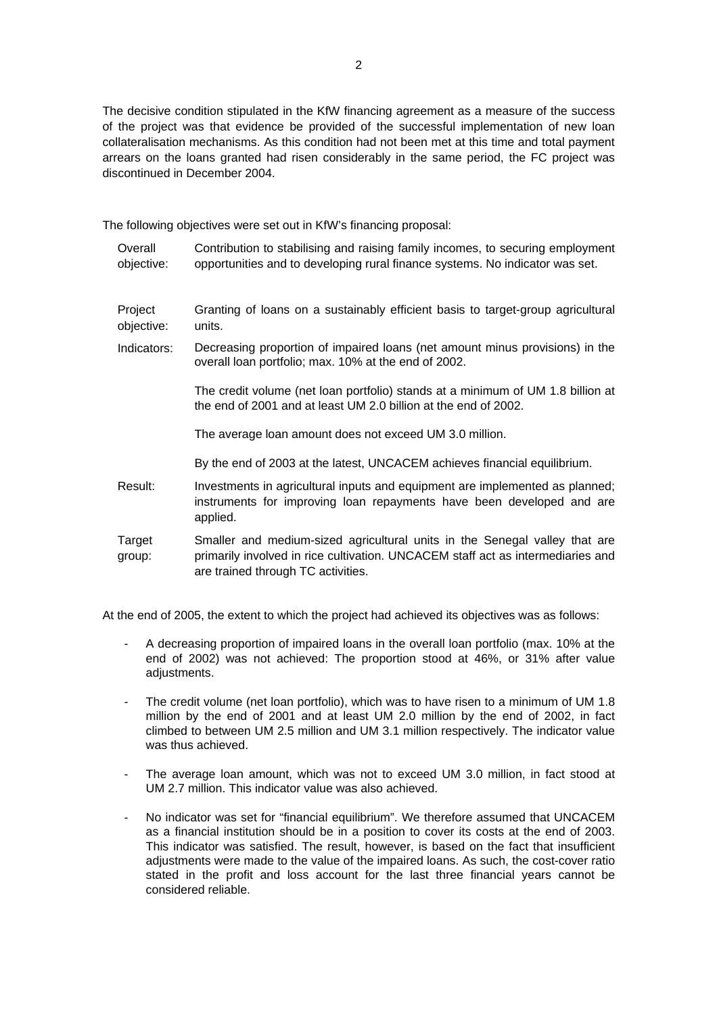The decisive condition stipulated in the KfW financing agreement as a measure of the success of the project was that evidence be provided of the successful implementation of new loan collateralisation mechanisms. As this condition had not been met at this time and total payment arrears on the loans granted had risen considerably in the same period, the FC project was discontinued in December 2004.

The following objectives were set out in KfW's financing proposal:

**Overall** objective: Contribution to stabilising and raising family incomes, to securing employment opportunities and to developing rural finance systems. No indicator was set. Project objective: Granting of loans on a sustainably efficient basis to target-group agricultural units. Indicators: Decreasing proportion of impaired loans (net amount minus provisions) in the overall loan portfolio; max. 10% at the end of 2002. The credit volume (net loan portfolio) stands at a minimum of UM 1.8 billion at the end of 2001 and at least UM 2.0 billion at the end of 2002. The average loan amount does not exceed UM 3.0 million. By the end of 2003 at the latest, UNCACEM achieves financial equilibrium. Result: Investments in agricultural inputs and equipment are implemented as planned; instruments for improving loan repayments have been developed and are applied. **Target** group: Smaller and medium-sized agricultural units in the Senegal valley that are primarily involved in rice cultivation. UNCACEM staff act as intermediaries and are trained through TC activities.

At the end of 2005, the extent to which the project had achieved its objectives was as follows:

- A decreasing proportion of impaired loans in the overall loan portfolio (max. 10% at the end of 2002) was not achieved: The proportion stood at 46%, or 31% after value adjustments.
- The credit volume (net loan portfolio), which was to have risen to a minimum of UM 1.8 million by the end of 2001 and at least UM 2.0 million by the end of 2002, in fact climbed to between UM 2.5 million and UM 3.1 million respectively. The indicator value was thus achieved.
- The average loan amount, which was not to exceed UM 3.0 million, in fact stood at UM 2.7 million. This indicator value was also achieved.
- No indicator was set for "financial equilibrium". We therefore assumed that UNCACEM as a financial institution should be in a position to cover its costs at the end of 2003. This indicator was satisfied. The result, however, is based on the fact that insufficient adjustments were made to the value of the impaired loans. As such, the cost-cover ratio stated in the profit and loss account for the last three financial years cannot be considered reliable.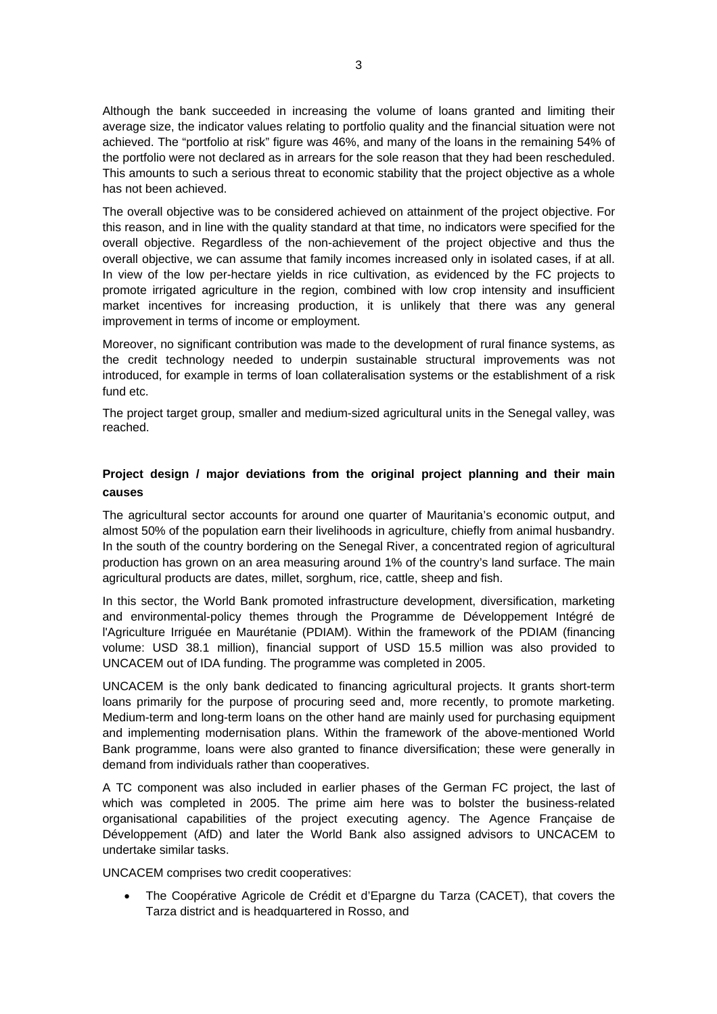Although the bank succeeded in increasing the volume of loans granted and limiting their average size, the indicator values relating to portfolio quality and the financial situation were not achieved. The "portfolio at risk" figure was 46%, and many of the loans in the remaining 54% of the portfolio were not declared as in arrears for the sole reason that they had been rescheduled. This amounts to such a serious threat to economic stability that the project objective as a whole has not been achieved.

The overall objective was to be considered achieved on attainment of the project objective. For this reason, and in line with the quality standard at that time, no indicators were specified for the overall objective. Regardless of the non-achievement of the project objective and thus the overall objective, we can assume that family incomes increased only in isolated cases, if at all. In view of the low per-hectare yields in rice cultivation, as evidenced by the FC projects to promote irrigated agriculture in the region, combined with low crop intensity and insufficient market incentives for increasing production, it is unlikely that there was any general improvement in terms of income or employment.

Moreover, no significant contribution was made to the development of rural finance systems, as the credit technology needed to underpin sustainable structural improvements was not introduced, for example in terms of loan collateralisation systems or the establishment of a risk fund etc.

The project target group, smaller and medium-sized agricultural units in the Senegal valley, was reached.

# **Project design / major deviations from the original project planning and their main causes**

The agricultural sector accounts for around one quarter of Mauritania's economic output, and almost 50% of the population earn their livelihoods in agriculture, chiefly from animal husbandry. In the south of the country bordering on the Senegal River, a concentrated region of agricultural production has grown on an area measuring around 1% of the country's land surface. The main agricultural products are dates, millet, sorghum, rice, cattle, sheep and fish.

In this sector, the World Bank promoted infrastructure development, diversification, marketing and environmental-policy themes through the Programme de Développement Intégré de l'Agriculture Irriguée en Maurétanie (PDIAM). Within the framework of the PDIAM (financing volume: USD 38.1 million), financial support of USD 15.5 million was also provided to UNCACEM out of IDA funding. The programme was completed in 2005.

UNCACEM is the only bank dedicated to financing agricultural projects. It grants short-term loans primarily for the purpose of procuring seed and, more recently, to promote marketing. Medium-term and long-term loans on the other hand are mainly used for purchasing equipment and implementing modernisation plans. Within the framework of the above-mentioned World Bank programme, loans were also granted to finance diversification; these were generally in demand from individuals rather than cooperatives.

A TC component was also included in earlier phases of the German FC project, the last of which was completed in 2005. The prime aim here was to bolster the business-related organisational capabilities of the project executing agency. The Agence Française de Développement (AfD) and later the World Bank also assigned advisors to UNCACEM to undertake similar tasks.

UNCACEM comprises two credit cooperatives:

• The Coopérative Agricole de Crédit et d'Epargne du Tarza (CACET), that covers the Tarza district and is headquartered in Rosso, and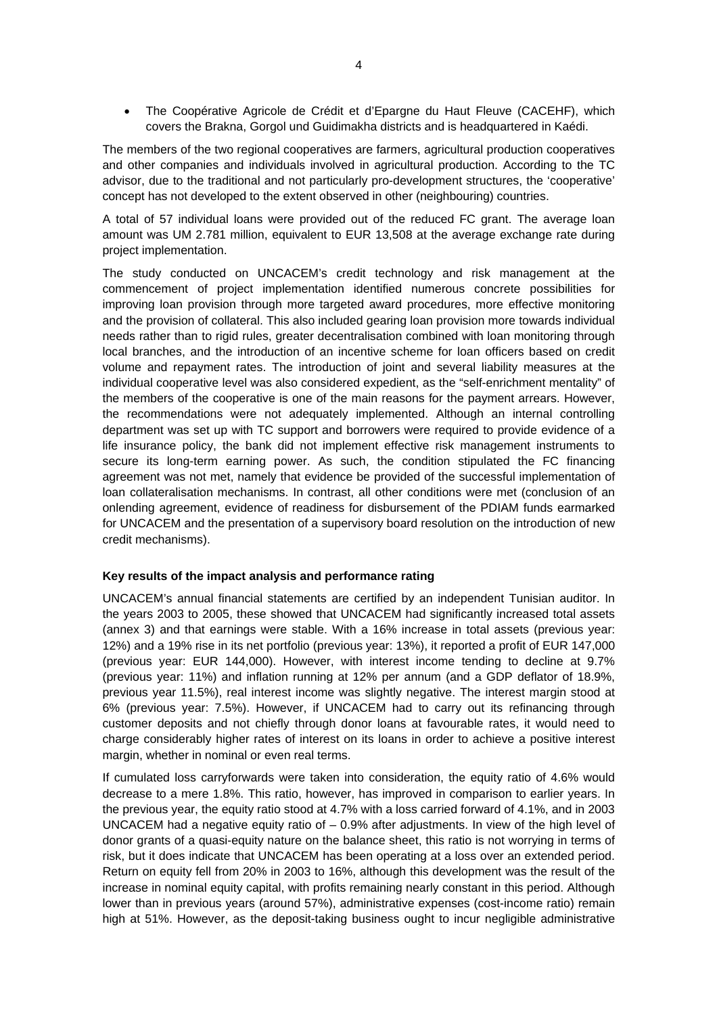• The Coopérative Agricole de Crédit et d'Epargne du Haut Fleuve (CACEHF), which covers the Brakna, Gorgol und Guidimakha districts and is headquartered in Kaédi.

The members of the two regional cooperatives are farmers, agricultural production cooperatives and other companies and individuals involved in agricultural production. According to the TC advisor, due to the traditional and not particularly pro-development structures, the 'cooperative' concept has not developed to the extent observed in other (neighbouring) countries.

A total of 57 individual loans were provided out of the reduced FC grant. The average loan amount was UM 2.781 million, equivalent to EUR 13,508 at the average exchange rate during project implementation.

The study conducted on UNCACEM's credit technology and risk management at the commencement of project implementation identified numerous concrete possibilities for improving loan provision through more targeted award procedures, more effective monitoring and the provision of collateral. This also included gearing loan provision more towards individual needs rather than to rigid rules, greater decentralisation combined with loan monitoring through local branches, and the introduction of an incentive scheme for loan officers based on credit volume and repayment rates. The introduction of joint and several liability measures at the individual cooperative level was also considered expedient, as the "self-enrichment mentality" of the members of the cooperative is one of the main reasons for the payment arrears. However, the recommendations were not adequately implemented. Although an internal controlling department was set up with TC support and borrowers were required to provide evidence of a life insurance policy, the bank did not implement effective risk management instruments to secure its long-term earning power. As such, the condition stipulated the FC financing agreement was not met, namely that evidence be provided of the successful implementation of loan collateralisation mechanisms. In contrast, all other conditions were met (conclusion of an onlending agreement, evidence of readiness for disbursement of the PDIAM funds earmarked for UNCACEM and the presentation of a supervisory board resolution on the introduction of new credit mechanisms).

## **Key results of the impact analysis and performance rating**

UNCACEM's annual financial statements are certified by an independent Tunisian auditor. In the years 2003 to 2005, these showed that UNCACEM had significantly increased total assets (annex 3) and that earnings were stable. With a 16% increase in total assets (previous year: 12%) and a 19% rise in its net portfolio (previous year: 13%), it reported a profit of EUR 147,000 (previous year: EUR 144,000). However, with interest income tending to decline at 9.7% (previous year: 11%) and inflation running at 12% per annum (and a GDP deflator of 18.9%, previous year 11.5%), real interest income was slightly negative. The interest margin stood at 6% (previous year: 7.5%). However, if UNCACEM had to carry out its refinancing through customer deposits and not chiefly through donor loans at favourable rates, it would need to charge considerably higher rates of interest on its loans in order to achieve a positive interest margin, whether in nominal or even real terms.

If cumulated loss carryforwards were taken into consideration, the equity ratio of 4.6% would decrease to a mere 1.8%. This ratio, however, has improved in comparison to earlier years. In the previous year, the equity ratio stood at 4.7% with a loss carried forward of 4.1%, and in 2003 UNCACEM had a negative equity ratio of  $-0.9%$  after adjustments. In view of the high level of donor grants of a quasi-equity nature on the balance sheet, this ratio is not worrying in terms of risk, but it does indicate that UNCACEM has been operating at a loss over an extended period. Return on equity fell from 20% in 2003 to 16%, although this development was the result of the increase in nominal equity capital, with profits remaining nearly constant in this period. Although lower than in previous years (around 57%), administrative expenses (cost-income ratio) remain high at 51%. However, as the deposit-taking business ought to incur negligible administrative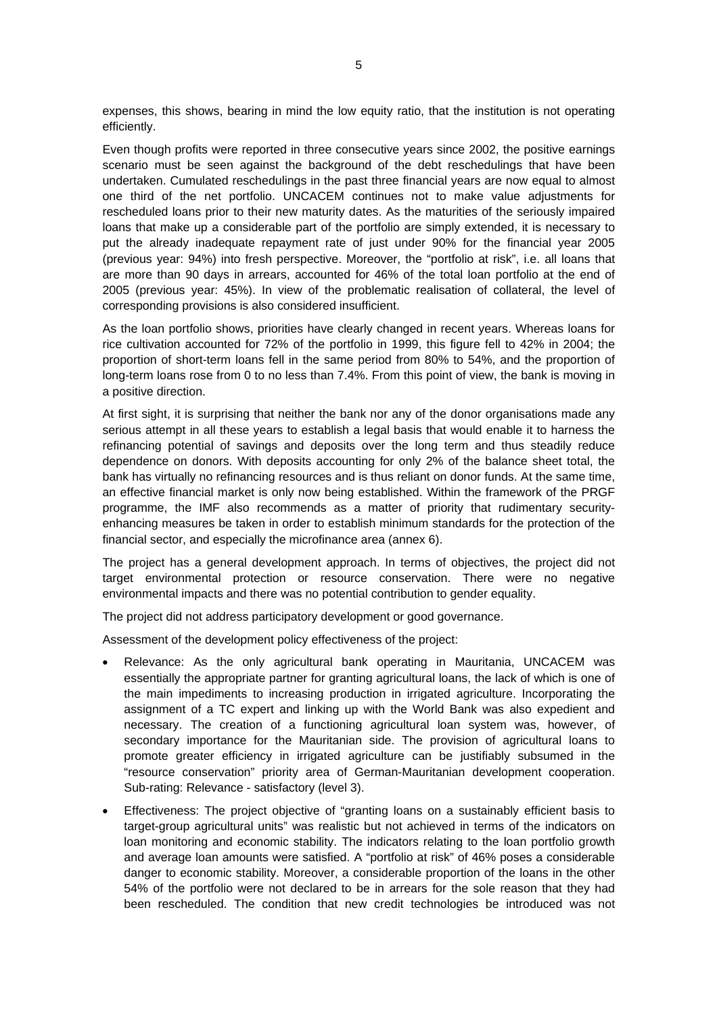expenses, this shows, bearing in mind the low equity ratio, that the institution is not operating efficiently.

Even though profits were reported in three consecutive years since 2002, the positive earnings scenario must be seen against the background of the debt reschedulings that have been undertaken. Cumulated reschedulings in the past three financial years are now equal to almost one third of the net portfolio. UNCACEM continues not to make value adjustments for rescheduled loans prior to their new maturity dates. As the maturities of the seriously impaired loans that make up a considerable part of the portfolio are simply extended, it is necessary to put the already inadequate repayment rate of just under 90% for the financial year 2005 (previous year: 94%) into fresh perspective. Moreover, the "portfolio at risk", i.e. all loans that are more than 90 days in arrears, accounted for 46% of the total loan portfolio at the end of 2005 (previous year: 45%). In view of the problematic realisation of collateral, the level of corresponding provisions is also considered insufficient.

As the loan portfolio shows, priorities have clearly changed in recent years. Whereas loans for rice cultivation accounted for 72% of the portfolio in 1999, this figure fell to 42% in 2004; the proportion of short-term loans fell in the same period from 80% to 54%, and the proportion of long-term loans rose from 0 to no less than 7.4%. From this point of view, the bank is moving in a positive direction.

At first sight, it is surprising that neither the bank nor any of the donor organisations made any serious attempt in all these years to establish a legal basis that would enable it to harness the refinancing potential of savings and deposits over the long term and thus steadily reduce dependence on donors. With deposits accounting for only 2% of the balance sheet total, the bank has virtually no refinancing resources and is thus reliant on donor funds. At the same time, an effective financial market is only now being established. Within the framework of the PRGF programme, the IMF also recommends as a matter of priority that rudimentary securityenhancing measures be taken in order to establish minimum standards for the protection of the financial sector, and especially the microfinance area (annex 6).

The project has a general development approach. In terms of objectives, the project did not target environmental protection or resource conservation. There were no negative environmental impacts and there was no potential contribution to gender equality.

The project did not address participatory development or good governance.

Assessment of the development policy effectiveness of the project:

- Relevance: As the only agricultural bank operating in Mauritania, UNCACEM was essentially the appropriate partner for granting agricultural loans, the lack of which is one of the main impediments to increasing production in irrigated agriculture. Incorporating the assignment of a TC expert and linking up with the World Bank was also expedient and necessary. The creation of a functioning agricultural loan system was, however, of secondary importance for the Mauritanian side. The provision of agricultural loans to promote greater efficiency in irrigated agriculture can be justifiably subsumed in the "resource conservation" priority area of German-Mauritanian development cooperation. Sub-rating: Relevance - satisfactory (level 3).
- Effectiveness: The project objective of "granting loans on a sustainably efficient basis to target-group agricultural units" was realistic but not achieved in terms of the indicators on loan monitoring and economic stability. The indicators relating to the loan portfolio growth and average loan amounts were satisfied. A "portfolio at risk" of 46% poses a considerable danger to economic stability. Moreover, a considerable proportion of the loans in the other 54% of the portfolio were not declared to be in arrears for the sole reason that they had been rescheduled. The condition that new credit technologies be introduced was not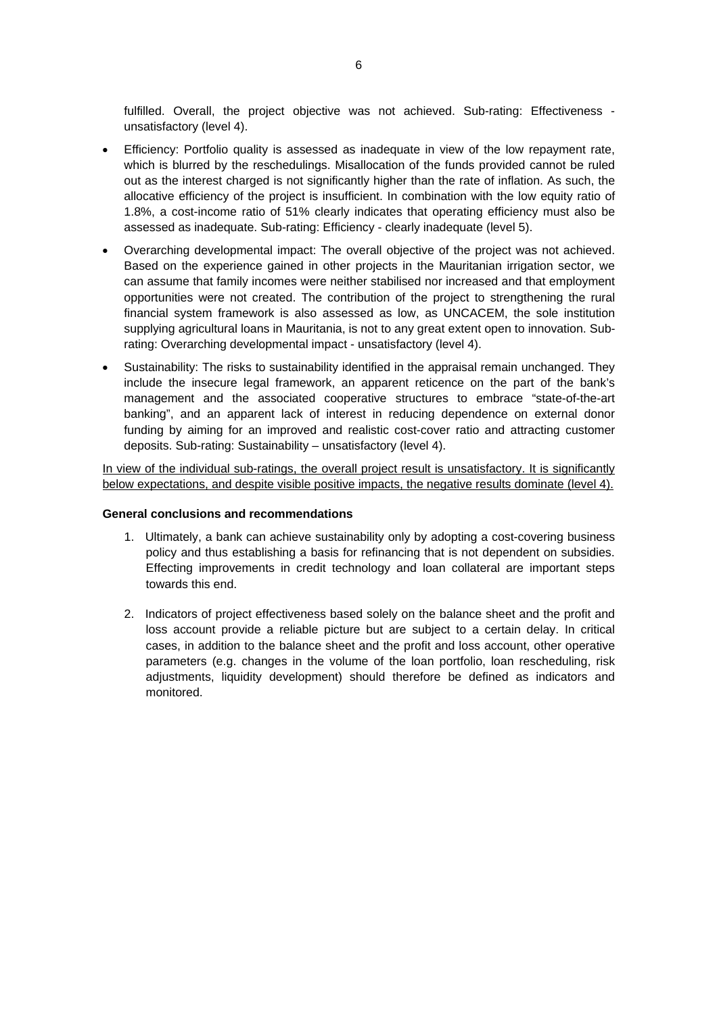fulfilled. Overall, the project objective was not achieved. Sub-rating: Effectiveness unsatisfactory (level 4).

- Efficiency: Portfolio quality is assessed as inadequate in view of the low repayment rate, which is blurred by the reschedulings. Misallocation of the funds provided cannot be ruled out as the interest charged is not significantly higher than the rate of inflation. As such, the allocative efficiency of the project is insufficient. In combination with the low equity ratio of 1.8%, a cost-income ratio of 51% clearly indicates that operating efficiency must also be assessed as inadequate. Sub-rating: Efficiency - clearly inadequate (level 5).
- Overarching developmental impact: The overall objective of the project was not achieved. Based on the experience gained in other projects in the Mauritanian irrigation sector, we can assume that family incomes were neither stabilised nor increased and that employment opportunities were not created. The contribution of the project to strengthening the rural financial system framework is also assessed as low, as UNCACEM, the sole institution supplying agricultural loans in Mauritania, is not to any great extent open to innovation. Subrating: Overarching developmental impact - unsatisfactory (level 4).
- Sustainability: The risks to sustainability identified in the appraisal remain unchanged. They include the insecure legal framework, an apparent reticence on the part of the bank's management and the associated cooperative structures to embrace "state-of-the-art banking", and an apparent lack of interest in reducing dependence on external donor funding by aiming for an improved and realistic cost-cover ratio and attracting customer deposits. Sub-rating: Sustainability – unsatisfactory (level 4).

In view of the individual sub-ratings, the overall project result is unsatisfactory. It is significantly below expectations, and despite visible positive impacts, the negative results dominate (level 4).

### **General conclusions and recommendations**

- 1. Ultimately, a bank can achieve sustainability only by adopting a cost-covering business policy and thus establishing a basis for refinancing that is not dependent on subsidies. Effecting improvements in credit technology and loan collateral are important steps towards this end.
- 2. Indicators of project effectiveness based solely on the balance sheet and the profit and loss account provide a reliable picture but are subject to a certain delay. In critical cases, in addition to the balance sheet and the profit and loss account, other operative parameters (e.g. changes in the volume of the loan portfolio, loan rescheduling, risk adjustments, liquidity development) should therefore be defined as indicators and monitored.